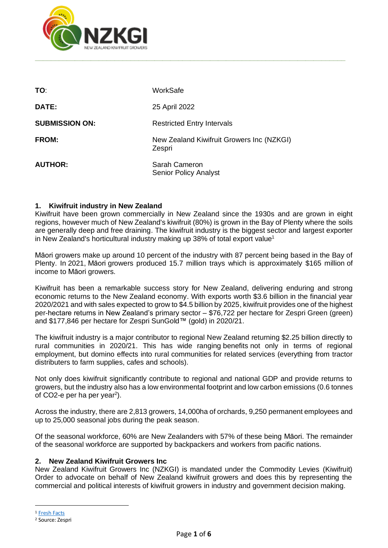

| TO:                   | WorkSafe                                            |
|-----------------------|-----------------------------------------------------|
| <b>DATE:</b>          | 25 April 2022                                       |
| <b>SUBMISSION ON:</b> | <b>Restricted Entry Intervals</b>                   |
| <b>FROM:</b>          | New Zealand Kiwifruit Growers Inc (NZKGI)<br>Zespri |
| <b>AUTHOR:</b>        | Sarah Cameron<br><b>Senior Policy Analyst</b>       |

### **1. Kiwifruit industry in New Zealand**

Kiwifruit have been grown commercially in New Zealand since the 1930s and are grown in eight regions, however much of New Zealand's kiwifruit (80%) is grown in the Bay of Plenty where the soils are generally deep and free draining. The kiwifruit industry is the biggest sector and largest exporter in New Zealand's horticultural industry making up 38% of total export value<sup>1</sup>

Māori growers make up around 10 percent of the industry with 87 percent being based in the Bay of Plenty. In 2021, Māori growers produced 15.7 million trays which is approximately \$165 million of income to Māori growers.

Kiwifruit has been a remarkable success story for New Zealand, delivering enduring and strong economic returns to the New Zealand economy. With exports worth \$3.6 billion in the financial year 2020/2021 and with sales expected to grow to \$4.5 billion by 2025, kiwifruit provides one of the highest per-hectare returns in New Zealand's primary sector – \$76,722 per hectare for Zespri Green (green) and \$177,846 per hectare for Zespri SunGold™ (gold) in 2020/21.

The kiwifruit industry is a major contributor to regional New Zealand returning \$2.25 billion directly to rural communities in 2020/21. This has wide ranging benefits not only in terms of regional employment, but domino effects into rural communities for related services (everything from tractor distributers to farm supplies, cafes and schools).

Not only does kiwifruit significantly contribute to regional and national GDP and provide returns to growers, but the industry also has a low environmental footprint and low carbon emissions (0.6 tonnes of CO2-e per ha per year<sup>2</sup>).

Across the industry, there are 2,813 growers, 14,000ha of orchards, 9,250 permanent employees and up to 25,000 seasonal jobs during the peak season.

Of the seasonal workforce, 60% are New Zealanders with 57% of these being Māori. The remainder of the seasonal workforce are supported by backpackers and workers from pacific nations.

### **2. New Zealand Kiwifruit Growers Inc**

New Zealand Kiwifruit Growers Inc (NZKGI) is mandated under the Commodity Levies (Kiwifruit) Order to advocate on behalf of New Zealand kiwifruit growers and does this by representing the commercial and political interests of kiwifruit growers in industry and government decision making.

<sup>1</sup> [Fresh Facts](https://www.freshfacts.co.nz/)

<sup>2</sup> Source: Zespri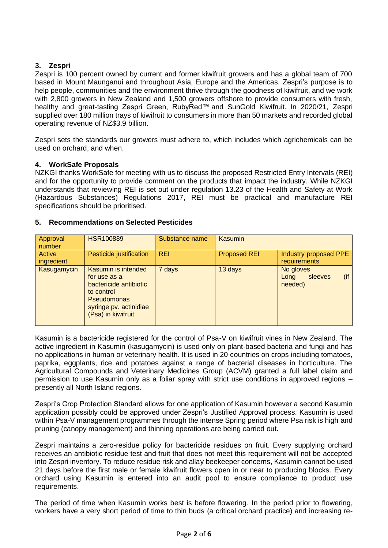### **3. Zespri**

Zespri is 100 percent owned by current and former kiwifruit growers and has a global team of 700 based in Mount Maunganui and throughout Asia, Europe and the Americas. Zespri's purpose is to help people, communities and the environment thrive through the goodness of kiwifruit, and we work with 2,800 growers in New Zealand and 1,500 growers offshore to provide consumers with fresh, healthy and great-tasting Zespri Green, RubyRed™ and SunGold Kiwifruit. In 2020/21, Zespri supplied over 180 million trays of kiwifruit to consumers in more than 50 markets and recorded global operating revenue of NZ\$3.9 billion.

Zespri sets the standards our growers must adhere to, which includes which agrichemicals can be used on orchard, and when.

### **4. WorkSafe Proposals**

NZKGI thanks WorkSafe for meeting with us to discuss the proposed Restricted Entry Intervals (REI) and for the opportunity to provide comment on the products that impact the industry. While NZKGI understands that reviewing REI is set out under regulation 13.23 of the Health and Safety at Work (Hazardous Substances) Regulations 2017, REI must be practical and manufacture REI specifications should be prioritised.

### **5. Recommendations on Selected Pesticides**

| Approval<br>number   | <b>HSR100889</b>                                                                                                                                  | Substance name | Kasumin             |                                                   |
|----------------------|---------------------------------------------------------------------------------------------------------------------------------------------------|----------------|---------------------|---------------------------------------------------|
| Active<br>ingredient | Pesticide justification                                                                                                                           | <b>REI</b>     | <b>Proposed REI</b> | Industry proposed PPE<br>requirements             |
| Kasugamycin          | Kasumin is intended<br>for use as a<br>bactericide antibiotic<br>to control<br><b>Pseudomonas</b><br>syringe pv. actinidiae<br>(Psa) in kiwifruit | 7 days         | 13 days             | No gloves<br>$($ if<br>sleeves<br>Long<br>needed) |

Kasumin is a bactericide registered for the control of Psa-V on kiwifruit vines in New Zealand. The active ingredient in Kasumin (kasugamycin) is used only on plant-based bacteria and fungi and has no applications in human or veterinary health. It is used in 20 countries on crops including tomatoes, paprika, eggplants, rice and potatoes against a range of bacterial diseases in horticulture. The Agricultural Compounds and Veterinary Medicines Group (ACVM) granted a full label claim and permission to use Kasumin only as a foliar spray with strict use conditions in approved regions – presently all North Island regions.

Zespri's Crop Protection Standard allows for one application of Kasumin however a second Kasumin application possibly could be approved under Zespri's Justified Approval process. Kasumin is used within Psa-V management programmes through the intense Spring period where Psa risk is high and pruning (canopy management) and thinning operations are being carried out.

Zespri maintains a zero-residue policy for bactericide residues on fruit. Every supplying orchard receives an antibiotic residue test and fruit that does not meet this requirement will not be accepted into Zespri inventory. To reduce residue risk and allay beekeeper concerns, Kasumin cannot be used 21 days before the first male or female kiwifruit flowers open in or near to producing blocks. Every orchard using Kasumin is entered into an audit pool to ensure compliance to product use requirements.

The period of time when Kasumin works best is before flowering. In the period prior to flowering, workers have a very short period of time to thin buds (a critical orchard practice) and increasing re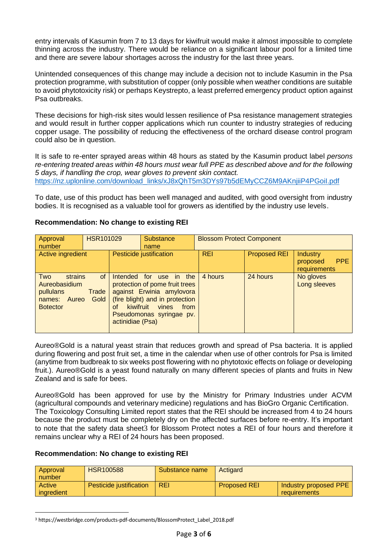entry intervals of Kasumin from 7 to 13 days for kiwifruit would make it almost impossible to complete thinning across the industry. There would be reliance on a significant labour pool for a limited time and there are severe labour shortages across the industry for the last three years.

Unintended consequences of this change may include a decision not to include Kasumin in the Psa protection programme, with substitution of copper (only possible when weather conditions are suitable to avoid phytotoxicity risk) or perhaps Keystrepto, a least preferred emergency product option against Psa outbreaks.

These decisions for high-risk sites would lessen resilience of Psa resistance management strategies and would result in further copper applications which run counter to industry strategies of reducing copper usage. The possibility of reducing the effectiveness of the orchard disease control program could also be in question.

It is safe to re-enter sprayed areas within 48 hours as stated by the Kasumin product label *persons re-entering treated areas within 48 hours must wear full PPE as described above and for the following 5 days, if handling the crop, wear gloves to prevent skin contact.* [https://nz.uplonline.com/download\\_links/xJ8xQhT5m3DYs97b5dEMyCCZ6M9AKnjiiP4PGoiI.pdf](https://nz.uplonline.com/download_links/xJ8xQhT5m3DYs97b5dEMyCCZ6M9AKnjiiP4PGoiI.pdf)

To date, use of this product has been well managed and audited, with good oversight from industry bodies. It is recognised as a valuable tool for growers as identified by the industry use levels.

| Approval<br>number                                                              | <b>HSR101029</b>    | <b>Substance</b><br>name                            |                                                                                                                                            | <b>Blossom Protect Component</b> |                     |                                                           |                           |
|---------------------------------------------------------------------------------|---------------------|-----------------------------------------------------|--------------------------------------------------------------------------------------------------------------------------------------------|----------------------------------|---------------------|-----------------------------------------------------------|---------------------------|
| Active ingredient                                                               |                     | Pesticide justification                             |                                                                                                                                            | <b>REI</b>                       | <b>Proposed REI</b> | <b>Industry</b><br><b>PPE</b><br>proposed<br>requirements |                           |
| Two<br>strains<br>Aureobasidium<br>pullulans<br>names: Aureo<br><b>Botector</b> | of<br>Trade<br>Gold | Intended for<br>kiwifruit<br>Ωf<br>actinidiae (Psa) | use<br>protection of pome fruit trees<br>against Erwinia amylovora<br>(fire blight) and in protection<br>vines<br>Pseudomonas syringae pv. | in the<br>from                   | 4 hours             | 24 hours                                                  | No gloves<br>Long sleeves |

## **Recommendation: No change to existing REI**

Aureo®Gold is a natural yeast strain that reduces growth and spread of Psa bacteria. It is applied during flowering and post fruit set, a time in the calendar when use of other controls for Psa is limited (anytime from budbreak to six weeks post flowering with no phytotoxic effects on foliage or developing fruit.). Aureo®Gold is a yeast found naturally on many different species of plants and fruits in New Zealand and is safe for bees.

Aureo®Gold has been approved for use by the Ministry for Primary Industries under ACVM (agricultural compounds and veterinary medicine) regulations and has BioGro Organic Certification. The Toxicology Consulting Limited report states that the REI should be increased from 4 to 24 hours because the product must be completely dry on the affected surfaces before re-entry. It's important to note that the safety data sheet3 for Blossom Protect notes a REI of four hours and therefore it remains unclear why a REI of 24 hours has been proposed.

# **Recommendation: No change to existing REI**

| Approval<br>number   | <b>HSR100588</b>        | Substance name | Actigard            |                                       |
|----------------------|-------------------------|----------------|---------------------|---------------------------------------|
| Active<br>ingredient | Pesticide justification | <b>REI</b>     | <b>Proposed REI</b> | Industry proposed PPE<br>requirements |

<sup>3</sup> https://westbridge.com/products-pdf-documents/BlossomProtect\_Label\_2018.pdf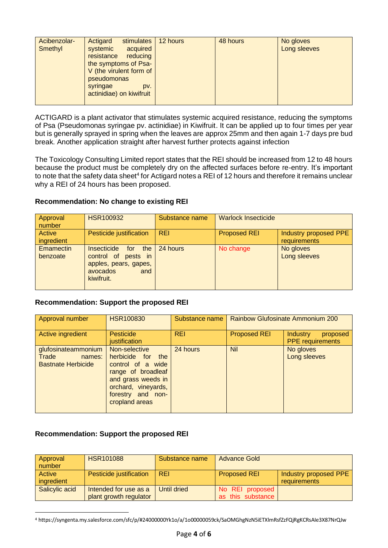| Acibenzolar- | stimulates<br>Actigard   | 12 hours | 48 hours | No gloves    |
|--------------|--------------------------|----------|----------|--------------|
|              |                          |          |          |              |
| Smethyl      | acquired<br>systemic     |          |          | Long sleeves |
|              | resistance reducing      |          |          |              |
|              | the symptoms of Psa-     |          |          |              |
|              | V (the virulent form of  |          |          |              |
|              | pseudomonas              |          |          |              |
|              |                          |          |          |              |
|              | syringae<br>DV.          |          |          |              |
|              | actinidiae) on kiwifruit |          |          |              |
|              |                          |          |          |              |
|              |                          |          |          |              |

ACTIGARD is a plant activator that stimulates systemic acquired resistance, reducing the symptoms of Psa (Pseudomonas syringae pv. actinidiae) in Kiwifruit. It can be applied up to four times per year but is generally sprayed in spring when the leaves are approx 25mm and then again 1-7 days pre bud break. Another application straight after harvest further protects against infection

The Toxicology Consulting Limited report states that the REI should be increased from 12 to 48 hours because the product must be completely dry on the affected surfaces before re-entry. It's important to note that the safety data sheet<sup>4</sup> for Actigard notes a REI of 12 hours and therefore it remains unclear why a REI of 24 hours has been proposed.

# **Recommendation: No change to existing REI**

| Approval<br>number    | <b>HSR100932</b>                                                                                        | Substance name | <b>Warlock Insecticide</b> |                                       |
|-----------------------|---------------------------------------------------------------------------------------------------------|----------------|----------------------------|---------------------------------------|
| Active<br>ingredient  | Pesticide justification                                                                                 | <b>REI</b>     | <b>Proposed REI</b>        | Industry proposed PPE<br>requirements |
| Emamectin<br>benzoate | Insecticide for<br>the<br>control of pests in<br>apples, pears, gapes,<br>avocados<br>and<br>kiwifruit. | 24 hours       | No change                  | No gloves<br>Long sleeves             |

# **Recommendation: Support the proposed REI**

| Approval number                                                  | <b>HSR100830</b>                                                                                                                                                  | Substance name | <b>Rainbow Glufosinate Ammonium 200</b> |                                                        |
|------------------------------------------------------------------|-------------------------------------------------------------------------------------------------------------------------------------------------------------------|----------------|-----------------------------------------|--------------------------------------------------------|
| Active ingredient                                                | <b>Pesticide</b><br>justification                                                                                                                                 | <b>REI</b>     | <b>Proposed REI</b>                     | <b>Industry</b><br>proposed<br><b>PPE</b> requirements |
| glufosinateammonium<br>Trade names:<br><b>Bastnate Herbicide</b> | Non-selective<br>herbicide for the<br>control of a wide<br>range of broadleaf<br>and grass weeds in<br>orchard, vineyards,<br>forestry and non-<br>cropland areas | 24 hours       | <b>Nil</b>                              | No gloves<br>Long sleeves                              |

### **Recommendation: Support the proposed REI**

| Approval<br>number   | <b>HSR101088</b>                                | Substance name | <b>Advance Gold</b>                  |                                       |
|----------------------|-------------------------------------------------|----------------|--------------------------------------|---------------------------------------|
| Active<br>ingredient | Pesticide justification                         | <b>REI</b>     | <b>Proposed REI</b>                  | Industry proposed PPE<br>requirements |
| Salicylic acid       | Intended for use as a<br>plant growth regulator | Until dried    | No REI proposed<br>as this substance |                                       |

<sup>4</sup> https://syngenta.my.salesforce.com/sfc/p/#24000000Yk1o/a/1o00000059ck/SaOMGhgNzN5iETXlmRsfZzFQjRgKCRsAIe3X87NrQJw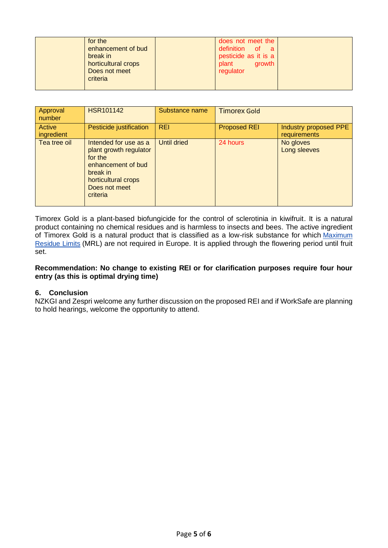| for the<br>enhancement of bud<br>break in<br>horticultural crops<br>Does not meet<br>criteria | does not meet the<br>definition of a<br>pesticide as it is a<br>plant<br>arowth<br>regulator |  |
|-----------------------------------------------------------------------------------------------|----------------------------------------------------------------------------------------------|--|
|                                                                                               |                                                                                              |  |

| Approval<br>number   | <b>HSR101142</b>                                                                                                                                 | Substance name     | <b>Timorex Gold</b> |                                       |
|----------------------|--------------------------------------------------------------------------------------------------------------------------------------------------|--------------------|---------------------|---------------------------------------|
| Active<br>ingredient | Pesticide justification                                                                                                                          | <b>REI</b>         | <b>Proposed REI</b> | Industry proposed PPE<br>requirements |
| Tea tree oil         | Intended for use as a<br>plant growth regulator<br>for the<br>enhancement of bud<br>break in<br>horticultural crops<br>Does not meet<br>criteria | <b>Until dried</b> | 24 hours            | No gloves<br>Long sleeves             |

Timorex Gold is a plant-based biofungicide for the control of sclerotinia in kiwifruit. It is a natural product containing no chemical residues and is harmless to insects and bees. The active ingredient of Timorex Gold is a natural product that is classified as a low-risk substance for which [Maximum](https://en.wikipedia.org/wiki/Maximum_Residue_Limits)  [Residue Limits](https://en.wikipedia.org/wiki/Maximum_Residue_Limits) (MRL) are not required in Europe. It is applied through the flowering period until fruit set.

#### **Recommendation: No change to existing REI or for clarification purposes require four hour entry (as this is optimal drying time)**

### **6. Conclusion**

NZKGI and Zespri welcome any further discussion on the proposed REI and if WorkSafe are planning to hold hearings, welcome the opportunity to attend.